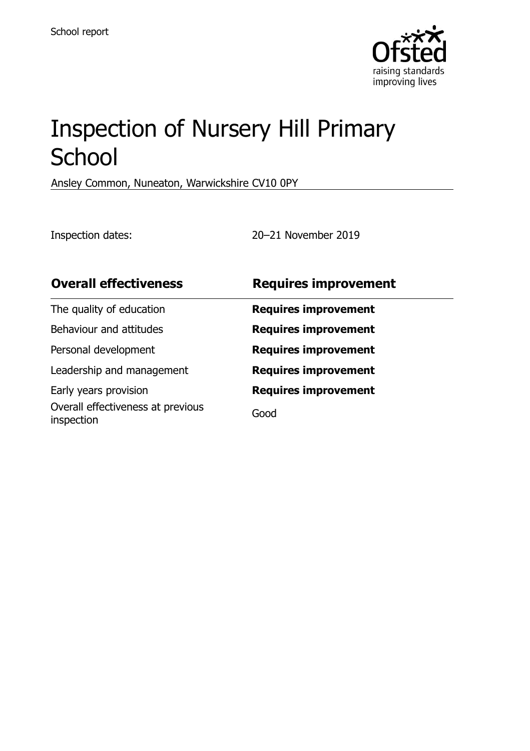

# Inspection of Nursery Hill Primary **School**

Ansley Common, Nuneaton, Warwickshire CV10 0PY

Inspection dates: 20–21 November 2019

| <b>Overall effectiveness</b>                    | <b>Requires improvement</b> |
|-------------------------------------------------|-----------------------------|
| The quality of education                        | <b>Requires improvement</b> |
| Behaviour and attitudes                         | <b>Requires improvement</b> |
| Personal development                            | <b>Requires improvement</b> |
| Leadership and management                       | <b>Requires improvement</b> |
| Early years provision                           | <b>Requires improvement</b> |
| Overall effectiveness at previous<br>inspection | Good                        |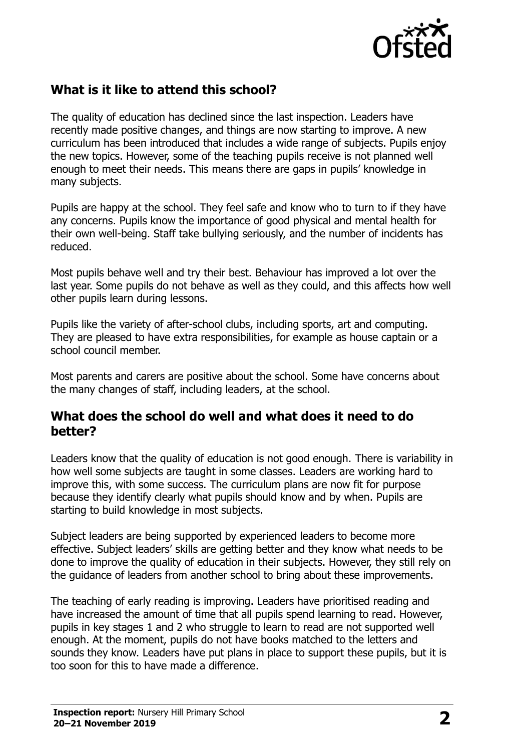

# **What is it like to attend this school?**

The quality of education has declined since the last inspection. Leaders have recently made positive changes, and things are now starting to improve. A new curriculum has been introduced that includes a wide range of subjects. Pupils enjoy the new topics. However, some of the teaching pupils receive is not planned well enough to meet their needs. This means there are gaps in pupils' knowledge in many subjects.

Pupils are happy at the school. They feel safe and know who to turn to if they have any concerns. Pupils know the importance of good physical and mental health for their own well-being. Staff take bullying seriously, and the number of incidents has reduced.

Most pupils behave well and try their best. Behaviour has improved a lot over the last year. Some pupils do not behave as well as they could, and this affects how well other pupils learn during lessons.

Pupils like the variety of after-school clubs, including sports, art and computing. They are pleased to have extra responsibilities, for example as house captain or a school council member.

Most parents and carers are positive about the school. Some have concerns about the many changes of staff, including leaders, at the school.

#### **What does the school do well and what does it need to do better?**

Leaders know that the quality of education is not good enough. There is variability in how well some subjects are taught in some classes. Leaders are working hard to improve this, with some success. The curriculum plans are now fit for purpose because they identify clearly what pupils should know and by when. Pupils are starting to build knowledge in most subjects.

Subject leaders are being supported by experienced leaders to become more effective. Subject leaders' skills are getting better and they know what needs to be done to improve the quality of education in their subjects. However, they still rely on the guidance of leaders from another school to bring about these improvements.

The teaching of early reading is improving. Leaders have prioritised reading and have increased the amount of time that all pupils spend learning to read. However, pupils in key stages 1 and 2 who struggle to learn to read are not supported well enough. At the moment, pupils do not have books matched to the letters and sounds they know. Leaders have put plans in place to support these pupils, but it is too soon for this to have made a difference.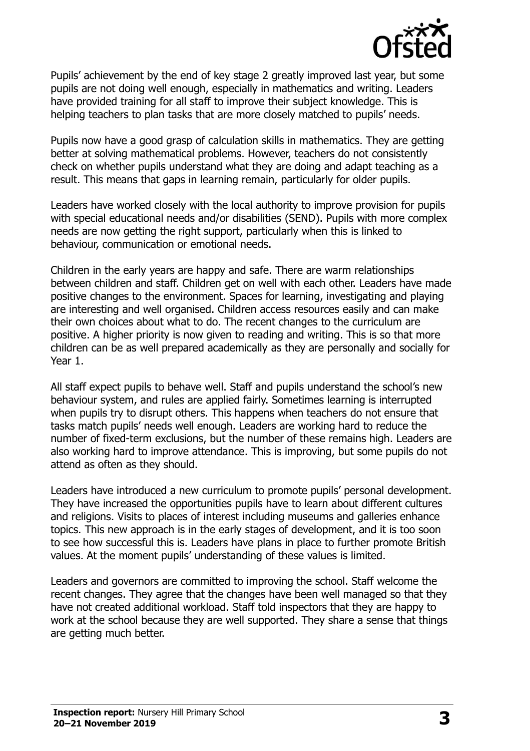

Pupils' achievement by the end of key stage 2 greatly improved last year, but some pupils are not doing well enough, especially in mathematics and writing. Leaders have provided training for all staff to improve their subject knowledge. This is helping teachers to plan tasks that are more closely matched to pupils' needs.

Pupils now have a good grasp of calculation skills in mathematics. They are getting better at solving mathematical problems. However, teachers do not consistently check on whether pupils understand what they are doing and adapt teaching as a result. This means that gaps in learning remain, particularly for older pupils.

Leaders have worked closely with the local authority to improve provision for pupils with special educational needs and/or disabilities (SEND). Pupils with more complex needs are now getting the right support, particularly when this is linked to behaviour, communication or emotional needs.

Children in the early years are happy and safe. There are warm relationships between children and staff. Children get on well with each other. Leaders have made positive changes to the environment. Spaces for learning, investigating and playing are interesting and well organised. Children access resources easily and can make their own choices about what to do. The recent changes to the curriculum are positive. A higher priority is now given to reading and writing. This is so that more children can be as well prepared academically as they are personally and socially for Year 1.

All staff expect pupils to behave well. Staff and pupils understand the school's new behaviour system, and rules are applied fairly. Sometimes learning is interrupted when pupils try to disrupt others. This happens when teachers do not ensure that tasks match pupils' needs well enough. Leaders are working hard to reduce the number of fixed-term exclusions, but the number of these remains high. Leaders are also working hard to improve attendance. This is improving, but some pupils do not attend as often as they should.

Leaders have introduced a new curriculum to promote pupils' personal development. They have increased the opportunities pupils have to learn about different cultures and religions. Visits to places of interest including museums and galleries enhance topics. This new approach is in the early stages of development, and it is too soon to see how successful this is. Leaders have plans in place to further promote British values. At the moment pupils' understanding of these values is limited.

Leaders and governors are committed to improving the school. Staff welcome the recent changes. They agree that the changes have been well managed so that they have not created additional workload. Staff told inspectors that they are happy to work at the school because they are well supported. They share a sense that things are getting much better.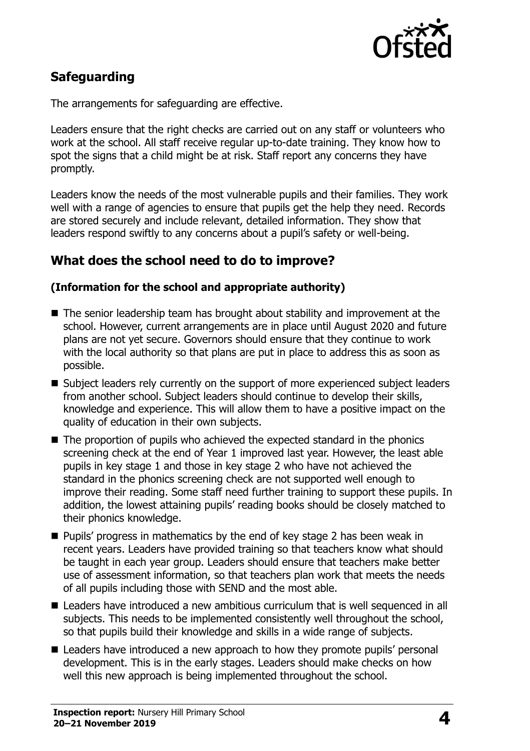

# **Safeguarding**

The arrangements for safeguarding are effective.

Leaders ensure that the right checks are carried out on any staff or volunteers who work at the school. All staff receive regular up-to-date training. They know how to spot the signs that a child might be at risk. Staff report any concerns they have promptly.

Leaders know the needs of the most vulnerable pupils and their families. They work well with a range of agencies to ensure that pupils get the help they need. Records are stored securely and include relevant, detailed information. They show that leaders respond swiftly to any concerns about a pupil's safety or well-being.

## **What does the school need to do to improve?**

#### **(Information for the school and appropriate authority)**

- The senior leadership team has brought about stability and improvement at the school. However, current arrangements are in place until August 2020 and future plans are not yet secure. Governors should ensure that they continue to work with the local authority so that plans are put in place to address this as soon as possible.
- Subject leaders rely currently on the support of more experienced subject leaders from another school. Subject leaders should continue to develop their skills, knowledge and experience. This will allow them to have a positive impact on the quality of education in their own subjects.
- The proportion of pupils who achieved the expected standard in the phonics screening check at the end of Year 1 improved last year. However, the least able pupils in key stage 1 and those in key stage 2 who have not achieved the standard in the phonics screening check are not supported well enough to improve their reading. Some staff need further training to support these pupils. In addition, the lowest attaining pupils' reading books should be closely matched to their phonics knowledge.
- Pupils' progress in mathematics by the end of key stage 2 has been weak in recent years. Leaders have provided training so that teachers know what should be taught in each year group. Leaders should ensure that teachers make better use of assessment information, so that teachers plan work that meets the needs of all pupils including those with SEND and the most able.
- Leaders have introduced a new ambitious curriculum that is well sequenced in all subjects. This needs to be implemented consistently well throughout the school, so that pupils build their knowledge and skills in a wide range of subjects.
- Leaders have introduced a new approach to how they promote pupils' personal development. This is in the early stages. Leaders should make checks on how well this new approach is being implemented throughout the school.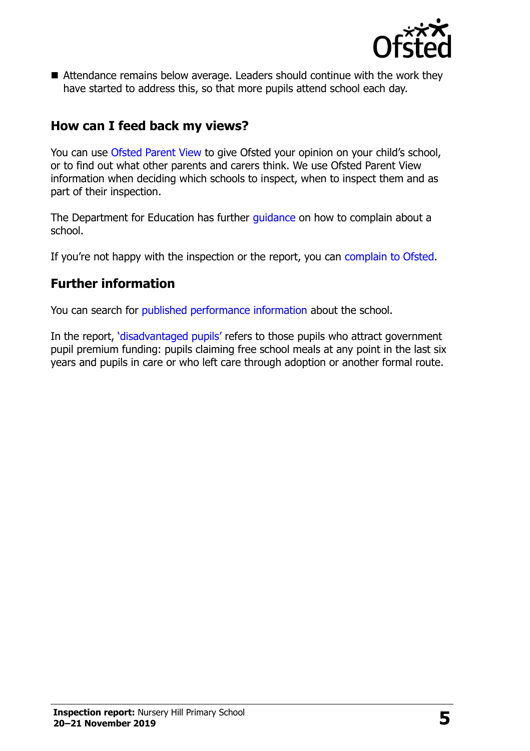

■ Attendance remains below average. Leaders should continue with the work they have started to address this, so that more pupils attend school each day.

## **How can I feed back my views?**

You can use [Ofsted Parent View](http://parentview.ofsted.gov.uk/) to give Ofsted your opinion on your child's school, or to find out what other parents and carers think. We use Ofsted Parent View information when deciding which schools to inspect, when to inspect them and as part of their inspection.

The Department for Education has further quidance on how to complain about a school.

If you're not happy with the inspection or the report, you can [complain to Ofsted.](http://www.gov.uk/complain-ofsted-report)

### **Further information**

You can search for [published performance information](http://www.compare-school-performance.service.gov.uk/) about the school.

In the report, '[disadvantaged pupils](http://www.gov.uk/guidance/pupil-premium-information-for-schools-and-alternative-provision-settings)' refers to those pupils who attract government pupil premium funding: pupils claiming free school meals at any point in the last six years and pupils in care or who left care through adoption or another formal route.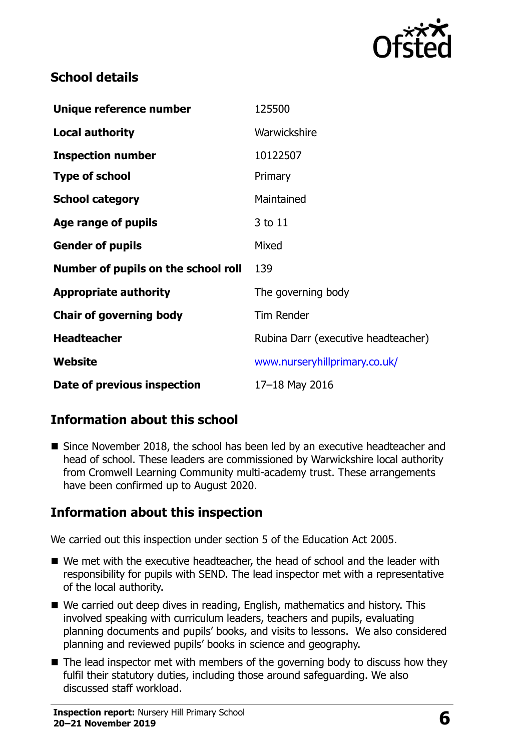

# **School details**

| Unique reference number             | 125500                              |
|-------------------------------------|-------------------------------------|
| <b>Local authority</b>              | Warwickshire                        |
| <b>Inspection number</b>            | 10122507                            |
| <b>Type of school</b>               | Primary                             |
| <b>School category</b>              | Maintained                          |
| Age range of pupils                 | 3 to 11                             |
| <b>Gender of pupils</b>             | Mixed                               |
| Number of pupils on the school roll | 139                                 |
| <b>Appropriate authority</b>        | The governing body                  |
| <b>Chair of governing body</b>      | <b>Tim Render</b>                   |
| <b>Headteacher</b>                  | Rubina Darr (executive headteacher) |
| Website                             | www.nurseryhillprimary.co.uk/       |
| Date of previous inspection         | 17-18 May 2016                      |

# **Information about this school**

■ Since November 2018, the school has been led by an executive headteacher and head of school. These leaders are commissioned by Warwickshire local authority from Cromwell Learning Community multi-academy trust. These arrangements have been confirmed up to August 2020.

# **Information about this inspection**

We carried out this inspection under section 5 of the Education Act 2005.

- We met with the executive headteacher, the head of school and the leader with responsibility for pupils with SEND. The lead inspector met with a representative of the local authority.
- We carried out deep dives in reading, English, mathematics and history. This involved speaking with curriculum leaders, teachers and pupils, evaluating planning documents and pupils' books, and visits to lessons. We also considered planning and reviewed pupils' books in science and geography.
- $\blacksquare$  The lead inspector met with members of the governing body to discuss how they fulfil their statutory duties, including those around safeguarding. We also discussed staff workload.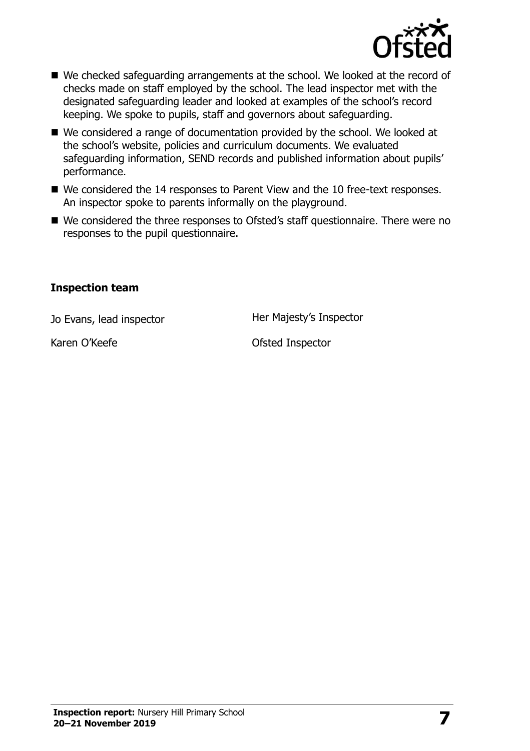

- We checked safeguarding arrangements at the school. We looked at the record of checks made on staff employed by the school. The lead inspector met with the designated safeguarding leader and looked at examples of the school's record keeping. We spoke to pupils, staff and governors about safeguarding.
- We considered a range of documentation provided by the school. We looked at the school's website, policies and curriculum documents. We evaluated safeguarding information, SEND records and published information about pupils' performance.
- We considered the 14 responses to Parent View and the 10 free-text responses. An inspector spoke to parents informally on the playground.
- We considered the three responses to Ofsted's staff questionnaire. There were no responses to the pupil questionnaire.

#### **Inspection team**

Jo Evans, lead inspector **Her Majesty's Inspector** 

Karen O'Keefe **Ofsted Inspector**